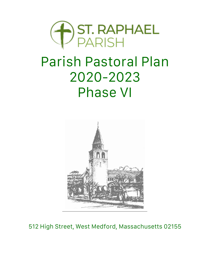

# Parish Pastoral Plan 2020-2023 Phase VI



512 High Street, West Medford, Massachusetts 02155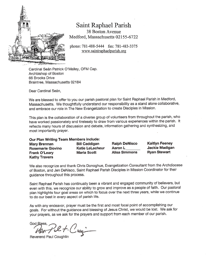

### Saint Raphael Parish

38 Boston Avenue Medford, Massachusetts 02155-6722

phone: 781-488-5444 fax: 781-483-3375 www.saintraphaelparish.org

Cardinal Seán Patrick O'Malley, OFM Cap. Archbishop of Boston 66 Brooks Drive Braintree, Massachusetts 02184

Dear Cardinal Seán,

We are blessed to offer to you our parish pastoral plan for Saint Raphael Parish in Medford, Massachusetts. We thoughtfully understand our responsibility as a stand alone collaborative, and embrace our role in The New Evangelization to create Disciples in Mission.

This plan is the collaboration of a diverse group of volunteers from throughout the parish, who have worked passionately and tirelessly to draw from various experiences within the parish. It reflects many hours of discussion and debate, information gathering and synthesizing, and most importantly prayer.

| Our Plan Writing Team Members include: |                        |                      |                       |
|----------------------------------------|------------------------|----------------------|-----------------------|
| <b>Mary Brennan</b>                    | <b>Bill Caddigan</b>   | <b>Ralph DeNisco</b> | <b>Kaitlyn Feeney</b> |
| <b>Rosemarie Giovino</b>               | <b>Katie LeLacheur</b> | Aaron L              | Jackie Madigan        |
| Frank O'Leary                          | <b>Maria Scott</b>     | Alisa Simmons        | <b>Ryan Stewart</b>   |
| <b>Kathy Travers</b>                   |                        |                      |                       |

We also recognize and thank Chris Donoghue, Evangelization Consultant from the Archdiocese of Boston, and Jen DeNisco, Saint Raphael Parish Disciples in Mission Coordinator for their guidance throughout this process.

Saint Raphael Parish has continually been a vibrant and engaged community of believers, but even with this, we recognize our ability to grow and improve as a people of faith. Our pastoral plan highlights four goal areas on which to focus over the next three years, while we continue to do our best in every aspect of parish life.

As with any endeavor, prayer must be the first and most focal point of accomplishing our goals. For without the guidance and blessing of Jesus Christ, we would be lost. We ask for your prayers, as we ask for the prayers and support from each member of our parish.

God Bless, 2et. Cur

Reverend Paul Coughlin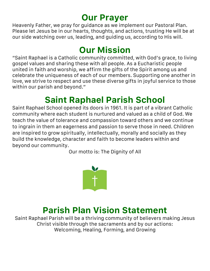### **Our Prayer**

Heavenly Father, we pray for guidance as we implement our Pastoral Plan. Please let Jesus be in our hearts, thoughts, and actions, trusting He will be at our side watching over us, leading, and guiding us, according to His will.

# **Our Mission**

"Saint Raphael is a Catholic community committed, with God's grace, to living gospel values and sharing these with all people. As a Eucharistic people united in faith and worship, we affirm the gifts of the Spirit among us and celebrate the uniqueness of each of our members. Supporting one another in love, we strive to respect and use these diverse gifts in joyful service to those within our parish and beyond."

# **Saint Raphael Parish School**

Saint Raphael School opened its doors in 1961. It is part of a vibrant Catholic community where each student is nurtured and valued as a child of God. We teach the value of tolerance and compassion toward others and we continue to ingrain in them an eagerness and passion to serve those in need. Children are inspired to grow spiritually, intellectually, morally and socially as they build the knowledge, character and faith to become leaders within and beyond our community.

Our motto is: The Dignity of All



### **Parish Plan Vision Statement**

Saint Raphael Parish will be a thriving community of believers making Jesus Christ visible through the sacraments and by our actions: Welcoming, Healing, Forming, and Growing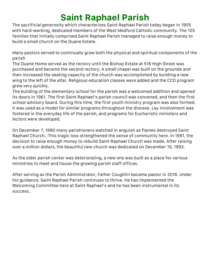# **Saint Raphael Parish**

The sacrificial generosity which characterizes Saint Raphael Parish today began in 1905 with hard-working, dedicated members of the West Medford Catholic community. The 105 families that initially comprised Saint Raphael Parish managed to raise enough money to build a small church on the Duane Estate.

Many pastors served to continually grow both the physical and spiritual components of the parish

The Duane Home served as the rectory until the Bishop Estate at 516 High Street was purchased and became the second rectory. A small chapel was built on the grounds and then increased the seating capacity of the church was accomplished by building a new wing to the left of the altar. Religious education classes were added and the CCD program grew very quickly.

The building of the elementary school for the parish was a welcomed addition and opened its doors in 1961. The first Saint Raphael's parish council was convened, and then the first school advisory board. During this time, the first youth ministry program was also formed. It was used as a model for similar programs throughout the diocese. Lay involvement was fostered in the everyday life of the parish, and programs for Eucharistic ministers and lectors were developed.

On December 7, 1990 many parishioners watched in anguish as flames destroyed Saint Raphael Church. This tragic loss strengthened the sense of community here. In 1991, the decision to raise enough money to rebuild Saint Raphael Church was made. After raising over a million dollars, the beautiful new church was dedicated on December 19, 1993.

As the older parish center was deteriorating, a new one was built as a place for various ministries to meet and house the growing parish staff offices.

After serving as the Parish Administrator, Father Coughlin became pastor in 2018. Under his guidance, Saint Raphael Parish continues to thrive. He has implemented the Welcoming Committee here at Saint Raphael's and he has been instrumental in its success.